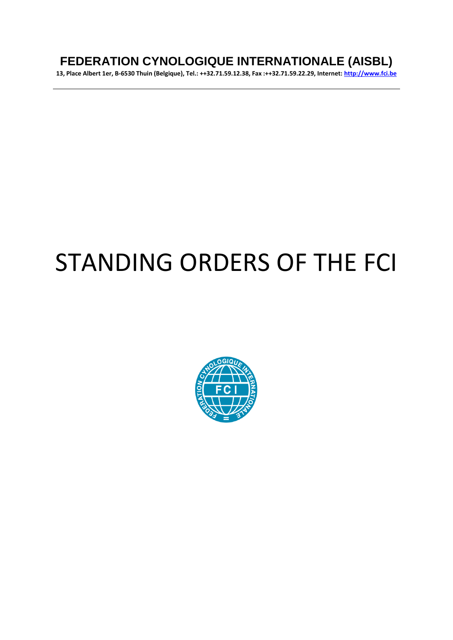# **FEDERATION CYNOLOGIQUE INTERNATIONALE (AISBL)**

**13, Place Albert 1er, B-6530 Thuin (Belgique), Tel.: ++32.71.59.12.38, Fax :++32.71.59.22.29, Internet: [http://www.fci.be](http://www.fci.be/)**

# STANDING ORDERS OF THE FCI

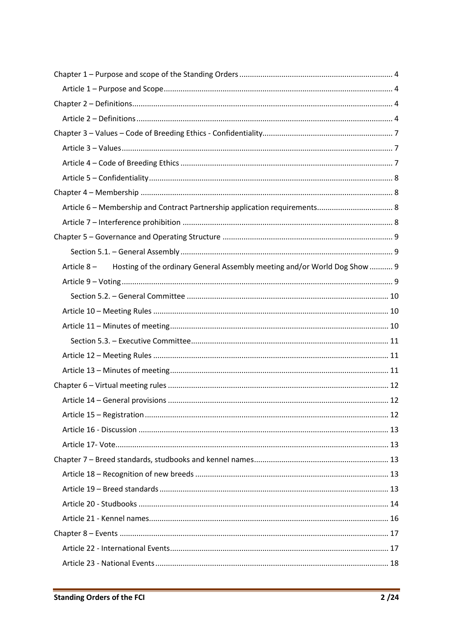| Article 6 - Membership and Contract Partnership application requirements 8            |  |
|---------------------------------------------------------------------------------------|--|
|                                                                                       |  |
|                                                                                       |  |
|                                                                                       |  |
| Article 8 - Hosting of the ordinary General Assembly meeting and/or World Dog Show  9 |  |
|                                                                                       |  |
|                                                                                       |  |
|                                                                                       |  |
|                                                                                       |  |
|                                                                                       |  |
|                                                                                       |  |
|                                                                                       |  |
|                                                                                       |  |
|                                                                                       |  |
|                                                                                       |  |
|                                                                                       |  |
|                                                                                       |  |
|                                                                                       |  |
|                                                                                       |  |
|                                                                                       |  |
|                                                                                       |  |
|                                                                                       |  |
|                                                                                       |  |
|                                                                                       |  |
|                                                                                       |  |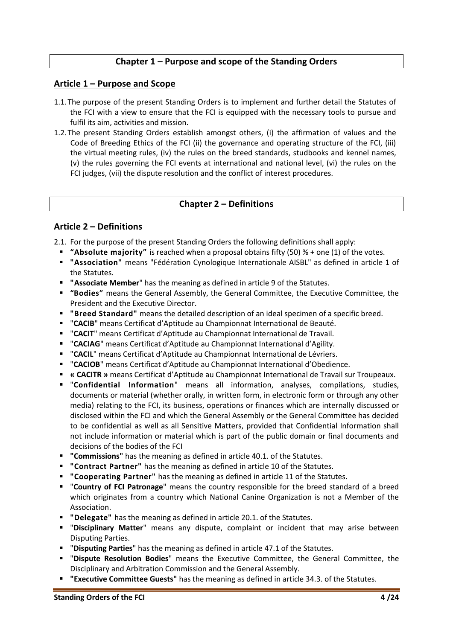#### **Chapter 1 – Purpose and scope of the Standing Orders**

#### <span id="page-3-1"></span><span id="page-3-0"></span>**Article 1 – Purpose and Scope**

- 1.1.The purpose of the present Standing Orders is to implement and further detail the Statutes of the FCI with a view to ensure that the FCI is equipped with the necessary tools to pursue and fulfil its aim, activities and mission.
- 1.2.The present Standing Orders establish amongst others, (i) the affirmation of values and the Code of Breeding Ethics of the FCI (ii) the governance and operating structure of the FCI, (iii) the virtual meeting rules, (iv) the rules on the breed standards, studbooks and kennel names, (v) the rules governing the FCI events at international and national level, (vi) the rules on the FCI judges, (vii) the dispute resolution and the conflict of interest procedures.

#### **Chapter 2 – Definitions**

#### <span id="page-3-3"></span><span id="page-3-2"></span>**Article 2 – Definitions**

2.1. For the purpose of the present Standing Orders the following definitions shall apply:

- **"Absolute majority"** is reached when a proposal obtains fifty (50) % + one (1) of the votes.
- **"Association"** means "Fédération Cynologique Internationale AISBL" as defined in article 1 of the Statutes.
- **"Associate Member**" has the meaning as defined in article 9 of the Statutes.
- **"Bodies"** means the General Assembly, the General Committee, the Executive Committee, the President and the Executive Director.
- **"Breed Standard"** means the detailed description of an ideal specimen of a specific breed.
- "**CACIB**" means Certificat d'Aptitude au Championnat International de Beauté.
- "**CACIT**" means Certificat d'Aptitude au Championnat International de Travail.
- "**CACIAG**" means Certificat d'Aptitude au Championnat International d'Agility.
- "**CACIL**" means Certificat d'Aptitude au Championnat International de Lévriers.
- "**CACIOB**" means Certificat d'Aptitude au Championnat International d'Obedience.
- **« CACITR »** means Certificat d'Aptitude au Championnat International de Travail sur Troupeaux.
- "**Confidential Information**" means all information, analyses, compilations, studies, documents or material (whether orally, in written form, in electronic form or through any other media) relating to the FCI, its business, operations or finances which are internally discussed or disclosed within the FCI and which the General Assembly or the General Committee has decided to be confidential as well as all Sensitive Matters, provided that Confidential Information shall not include information or material which is part of the public domain or final documents and decisions of the bodies of the FCI
- **"Commissions"** has the meaning as defined in article 40.1. of the Statutes.
- **"Contract Partner"** has the meaning as defined in article 10 of the Statutes.
- **"Cooperating Partner"** has the meaning as defined in article 11 of the Statutes.
- "**Country of FCI Patronage**" means the country responsible for the breed standard of a breed which originates from a country which National Canine Organization is not a Member of the Association.
- **"Delegate"** has the meaning as defined in article 20.1. of the Statutes.
- "**Disciplinary Matter**" means any dispute, complaint or incident that may arise between Disputing Parties.
- "**Disputing Parties**" has the meaning as defined in article 47.1 of the Statutes.
- "**Dispute Resolution Bodies**" means the Executive Committee, the General Committee, the Disciplinary and Arbitration Commission and the General Assembly.
- **"Executive Committee Guests"** has the meaning as defined in article 34.3. of the Statutes.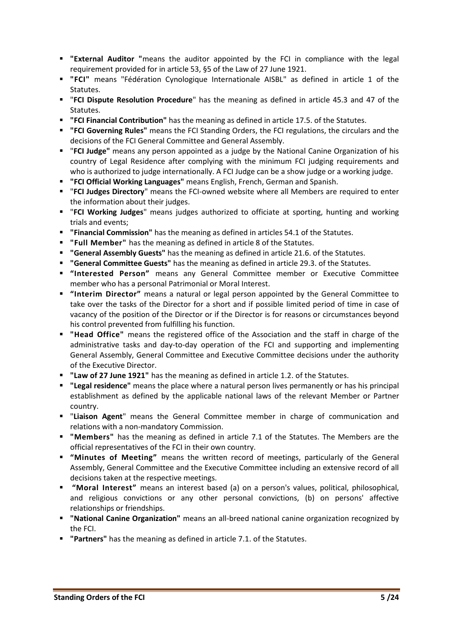- **External Auditor** "means the auditor appointed by the FCI in compliance with the legal requirement provided for in article 53, §5 of the Law of 27 June 1921.
- **"FCI"** means "Fédération Cynologique Internationale AISBL" as defined in article 1 of the Statutes.
- "**FCI Dispute Resolution Procedure**" has the meaning as defined in article 45.3 and 47 of the Statutes.
- **"FCI Financial Contribution"** has the meaning as defined in article 17.5. of the Statutes.
- **"FCI Governing Rules"** means the FCI Standing Orders, the FCI regulations, the circulars and the decisions of the FCI General Committee and General Assembly.
- "**FCI Judge"** means any person appointed as a judge by the National Canine Organization of his country of Legal Residence after complying with the minimum FCI judging requirements and who is authorized to judge internationally. A FCI Judge can be a show judge or a working judge.
- **"FCI Official Working Languages"** means English, French, German and Spanish.
- "**FCI Judges Directory**" means the FCI-owned website where all Members are required to enter the information about their judges.
- "**FCI Working Judges**" means judges authorized to officiate at sporting, hunting and working trials and events;
- **"Financial Commission"** has the meaning as defined in articles 54.1 of the Statutes.
- **"Full Member"** has the meaning as defined in article 8 of the Statutes.
- **"General Assembly Guests"** has the meaning as defined in article 21.6. of the Statutes.
- **"General Committee Guests"** has the meaning as defined in article 29.3. of the Statutes.
- **"Interested Person"** means any General Committee member or Executive Committee member who has a personal Patrimonial or Moral Interest.
- **"Interim Director"** means a natural or legal person appointed by the General Committee to take over the tasks of the Director for a short and if possible limited period of time in case of vacancy of the position of the Director or if the Director is for reasons or circumstances beyond his control prevented from fulfilling his function.
- **"Head Office"** means the registered office of the Association and the staff in charge of the administrative tasks and day-to-day operation of the FCI and supporting and implementing General Assembly, General Committee and Executive Committee decisions under the authority of the Executive Director.
- "Law of 27 June 1921" has the meaning as defined in article 1.2. of the Statutes.
- **"Legal residence"** means the place where a natural person lives permanently or has his principal establishment as defined by the applicable national laws of the relevant Member or Partner country.
- "**Liaison Agent**" means the General Committee member in charge of communication and relations with a non-mandatory Commission.
- **"Members"** has the meaning as defined in article 7.1 of the Statutes. The Members are the official representatives of the FCI in their own country.
- **"Minutes of Meeting"** means the written record of meetings, particularly of the General Assembly, General Committee and the Executive Committee including an extensive record of all decisions taken at the respective meetings.
- **"Moral Interest"** means an interest based (a) on a person's values, political, philosophical, and religious convictions or any other personal convictions, (b) on persons' affective relationships or friendships.
- **"National Canine Organization"** means an all-breed national canine organization recognized by the FCI.
- **"Partners"** has the meaning as defined in article 7.1. of the Statutes.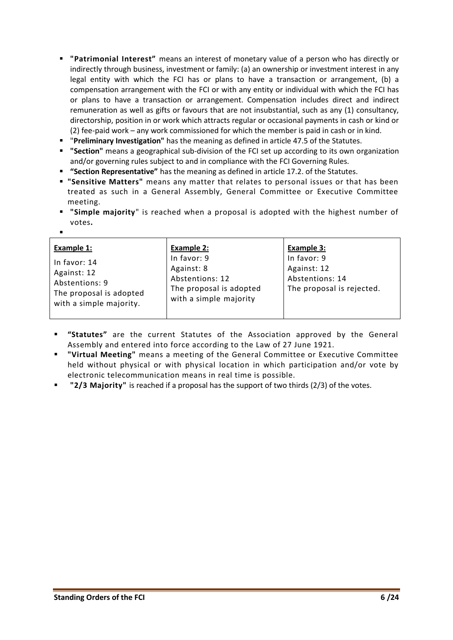- **"Patrimonial Interest"** means an interest of monetary value of a person who has directly or indirectly through business, investment or family: (a) an ownership or investment interest in any legal entity with which the FCI has or plans to have a transaction or arrangement, (b) a compensation arrangement with the FCI or with any entity or individual with which the FCI has or plans to have a transaction or arrangement. Compensation includes direct and indirect remuneration as well as gifts or favours that are not insubstantial, such as any (1) consultancy, directorship, position in or work which attracts regular or occasional payments in cash or kind or (2) fee-paid work – any work commissioned for which the member is paid in cash or in kind.
- "**Preliminary Investigation"** has the meaning as defined in article 47.5 of the Statutes.
- **"Section"** means a geographical sub-division of the FCI set up according to its own organization and/or governing rules subject to and in compliance with the FCI Governing Rules.
- **"Section Representative"** has the meaning as defined in article 17.2. of the Statutes.
- **"Sensitive Matters"** means any matter that relates to personal issues or that has been treated as such in a General Assembly, General Committee or Executive Committee meeting.
- **"Simple majority**" is reached when a proposal is adopted with the highest number of votes**.**
- **Example 1:** In favor: 14 Against: 12 Abstentions: 9 The proposal is adopted with a simple majority. **Example 2:** In favor: 9 Against: 8 Abstentions: 12 The proposal is adopted with a simple majority **Example 3:** In favor: 9 Against: 12 Abstentions: 14 The proposal is rejected.
- **"Statutes"** are the current Statutes of the Association approved by the General Assembly and entered into force according to the Law of 27 June 1921.
- **"Virtual Meeting"** means a meeting of the General Committee or Executive Committee held without physical or with physical location in which participation and/or vote by electronic telecommunication means in real time is possible.
- **"2/3 Majority"** is reached if a proposal has the support of two thirds (2/3) of the votes.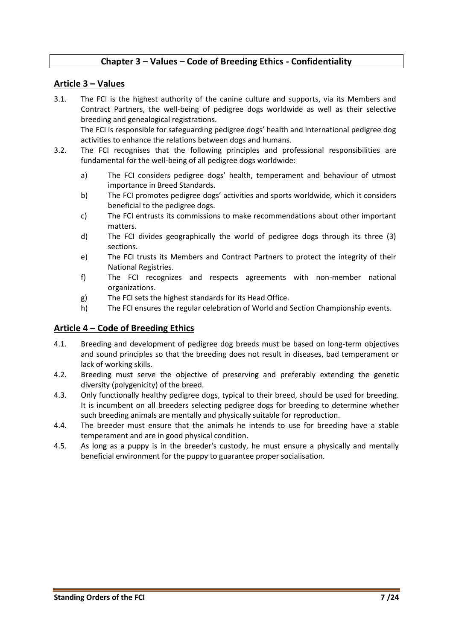# <span id="page-6-0"></span>**Chapter 3 – Values – Code of Breeding Ethics - Confidentiality**

#### <span id="page-6-1"></span>**Article 3 – Values**

- 3.1. The FCI is the highest authority of the canine culture and supports, via its Members and Contract Partners, the well-being of pedigree dogs worldwide as well as their selective breeding and genealogical registrations. The FCI is responsible for safeguarding pedigree dogs' health and international pedigree dog
- activities to enhance the relations between dogs and humans. 3.2. The FCI recognises that the following principles and professional responsibilities are fundamental for the well-being of all pedigree dogs worldwide:
	- a) The FCI considers pedigree dogs' health, temperament and behaviour of utmost importance in Breed Standards.
	- b) The FCI promotes pedigree dogs' activities and sports worldwide, which it considers beneficial to the pedigree dogs.
	- c) The FCI entrusts its commissions to make recommendations about other important matters.
	- d) The FCI divides geographically the world of pedigree dogs through its three (3) sections.
	- e) The FCI trusts its Members and Contract Partners to protect the integrity of their National Registries.
	- f) The FCI recognizes and respects agreements with non-member national organizations.
	- g) The FCI sets the highest standards for its Head Office.
	- h) The FCI ensures the regular celebration of World and Section Championship events.

#### <span id="page-6-2"></span>**Article 4 – Code of Breeding Ethics**

- 4.1. Breeding and development of pedigree dog breeds must be based on long-term objectives and sound principles so that the breeding does not result in diseases, bad temperament or lack of working skills.
- 4.2. Breeding must serve the objective of preserving and preferably extending the genetic diversity (polygenicity) of the breed.
- 4.3. Only functionally healthy pedigree dogs, typical to their breed, should be used for breeding. It is incumbent on all breeders selecting pedigree dogs for breeding to determine whether such breeding animals are mentally and physically suitable for reproduction.
- 4.4. The breeder must ensure that the animals he intends to use for breeding have a stable temperament and are in good physical condition.
- 4.5. As long as a puppy is in the breeder's custody, he must ensure a physically and mentally beneficial environment for the puppy to guarantee proper socialisation.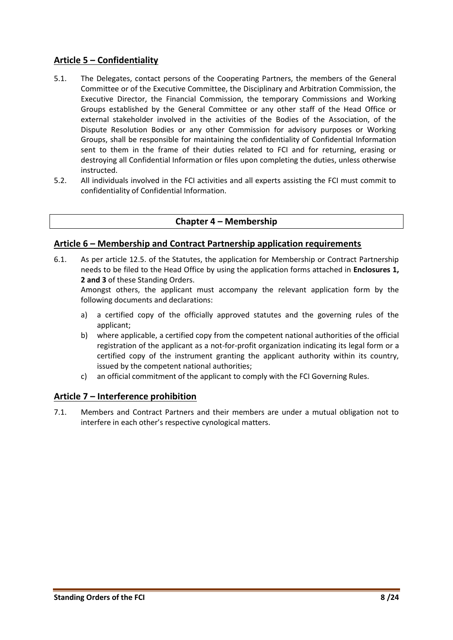#### <span id="page-7-0"></span>**Article 5 – Confidentiality**

- 5.1. The Delegates, contact persons of the Cooperating Partners, the members of the General Committee or of the Executive Committee, the Disciplinary and Arbitration Commission, the Executive Director, the Financial Commission, the temporary Commissions and Working Groups established by the General Committee or any other staff of the Head Office or external stakeholder involved in the activities of the Bodies of the Association, of the Dispute Resolution Bodies or any other Commission for advisory purposes or Working Groups, shall be responsible for maintaining the confidentiality of Confidential Information sent to them in the frame of their duties related to FCI and for returning, erasing or destroying all Confidential Information or files upon completing the duties, unless otherwise instructed.
- <span id="page-7-1"></span>5.2. All individuals involved in the FCI activities and all experts assisting the FCI must commit to confidentiality of Confidential Information.

#### **Chapter 4 – Membership**

#### <span id="page-7-2"></span>**Article 6 – Membership and Contract Partnership application requirements**

6.1. As per article 12.5. of the Statutes, the application for Membership or Contract Partnership needs to be filed to the Head Office by using the application forms attached in **Enclosures 1, 2 and 3** of these Standing Orders.

Amongst others, the applicant must accompany the relevant application form by the following documents and declarations:

- a) a certified copy of the officially approved statutes and the governing rules of the applicant;
- b) where applicable, a certified copy from the competent national authorities of the official registration of the applicant as a not-for-profit organization indicating its legal form or a certified copy of the instrument granting the applicant authority within its country, issued by the competent national authorities;
- c) an official commitment of the applicant to comply with the FCI Governing Rules.

#### <span id="page-7-3"></span>**Article 7 – Interference prohibition**

7.1. Members and Contract Partners and their members are under a mutual obligation not to interfere in each other's respective cynological matters.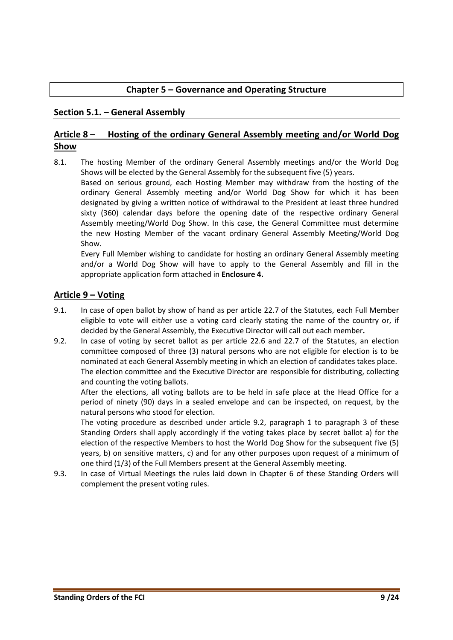#### **Chapter 5 – Governance and Operating Structure**

#### <span id="page-8-1"></span><span id="page-8-0"></span>**Section 5.1. – General Assembly**

# <span id="page-8-2"></span>**Article 8 – Hosting of the ordinary General Assembly meeting and/or World Dog Show**

8.1. The hosting Member of the ordinary General Assembly meetings and/or the World Dog Shows will be elected by the General Assembly for the subsequent five (5) years.

Based on serious ground, each Hosting Member may withdraw from the hosting of the ordinary General Assembly meeting and/or World Dog Show for which it has been designated by giving a written notice of withdrawal to the President at least three hundred sixty (360) calendar days before the opening date of the respective ordinary General Assembly meeting/World Dog Show. In this case, the General Committee must determine the new Hosting Member of the vacant ordinary General Assembly Meeting/World Dog Show.

Every Full Member wishing to candidate for hosting an ordinary General Assembly meeting and/or a World Dog Show will have to apply to the General Assembly and fill in the appropriate application form attached in **Enclosure 4.**

#### <span id="page-8-3"></span>**Article 9 – Voting**

- 9.1. In case of open ballot by show of hand as per article 22.7 of the Statutes, each Full Member eligible to vote will eit*h*er use a voting card clearly stating the name of the country or, if decided by the General Assembly, the Executive Director will call out each member*.*
- 9.2. In case of voting by secret ballot as per article 22.6 and 22.7 of the Statutes, an election committee composed of three (3) natural persons who are not eligible for election is to be nominated at each General Assembly meeting in which an election of candidates takes place. The election committee and the Executive Director are responsible for distributing, collecting and counting the voting ballots.

After the elections, all voting ballots are to be held in safe place at the Head Office for a period of ninety (90) days in a sealed envelope and can be inspected, on request, by the natural persons who stood for election.

The voting procedure as described under article 9.2, paragraph 1 to paragraph 3 of these Standing Orders shall apply accordingly if the voting takes place by secret ballot a) for the election of the respective Members to host the World Dog Show for the subsequent five (5) years, b) on sensitive matters, c) and for any other purposes upon request of a minimum of one third (1/3) of the Full Members present at the General Assembly meeting.

9.3. In case of Virtual Meetings the rules laid down in Chapter 6 of these Standing Orders will complement the present voting rules.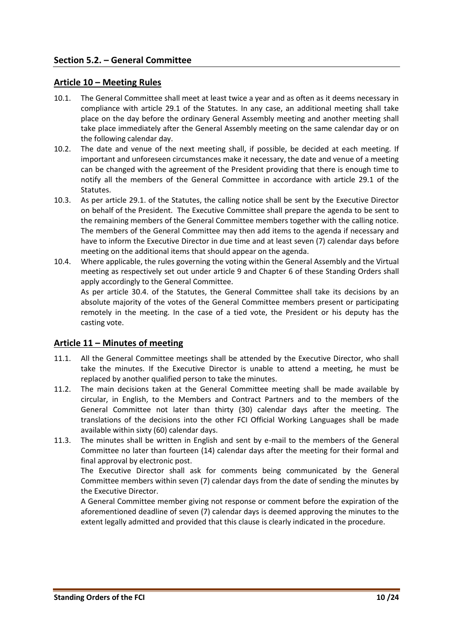#### <span id="page-9-1"></span><span id="page-9-0"></span>**Article 10 – Meeting Rules**

- 10.1. The General Committee shall meet at least twice a year and as often as it deems necessary in compliance with article 29.1 of the Statutes. In any case, an additional meeting shall take place on the day before the ordinary General Assembly meeting and another meeting shall take place immediately after the General Assembly meeting on the same calendar day or on the following calendar day.
- 10.2. The date and venue of the next meeting shall, if possible, be decided at each meeting. If important and unforeseen circumstances make it necessary, the date and venue of a meeting can be changed with the agreement of the President providing that there is enough time to notify all the members of the General Committee in accordance with article 29.1 of the Statutes.
- 10.3. As per article 29.1. of the Statutes, the calling notice shall be sent by the Executive Director on behalf of the President. The Executive Committee shall prepare the agenda to be sent to the remaining members of the General Committee members together with the calling notice. The members of the General Committee may then add items to the agenda if necessary and have to inform the Executive Director in due time and at least seven (7) calendar days before meeting on the additional items that should appear on the agenda.
- 10.4. Where applicable, the rules governing the voting within the General Assembly and the Virtual meeting as respectively set out under article 9 and Chapter 6 of these Standing Orders shall apply accordingly to the General Committee.

As per article 30.4. of the Statutes, the General Committee shall take its decisions by an absolute majority of the votes of the General Committee members present or participating remotely in the meeting. In the case of a tied vote, the President or his deputy has the casting vote.

#### <span id="page-9-2"></span>**Article 11 – Minutes of meeting**

- 11.1. All the General Committee meetings shall be attended by the Executive Director, who shall take the minutes. If the Executive Director is unable to attend a meeting, he must be replaced by another qualified person to take the minutes.
- 11.2. The main decisions taken at the General Committee meeting shall be made available by circular, in English, to the Members and Contract Partners and to the members of the General Committee not later than thirty (30) calendar days after the meeting. The translations of the decisions into the other FCI Official Working Languages shall be made available within sixty (60) calendar days.
- 11.3. The minutes shall be written in English and sent by e-mail to the members of the General Committee no later than fourteen (14) calendar days after the meeting for their formal and final approval by electronic post.

The Executive Director shall ask for comments being communicated by the General Committee members within seven (7) calendar days from the date of sending the minutes by the Executive Director.

A General Committee member giving not response or comment before the expiration of the aforementioned deadline of seven (7) calendar days is deemed approving the minutes to the extent legally admitted and provided that this clause is clearly indicated in the procedure.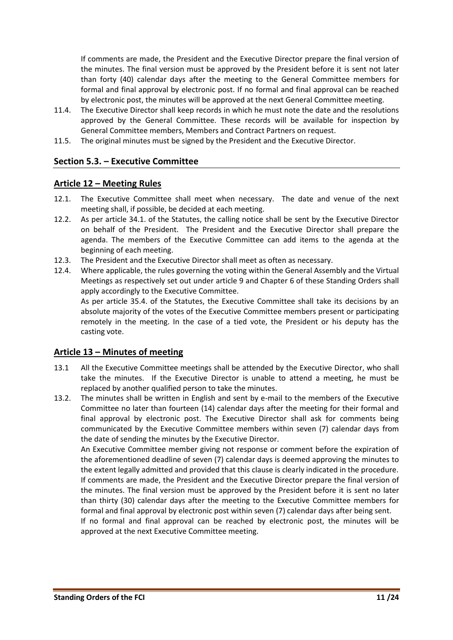If comments are made, the President and the Executive Director prepare the final version of the minutes. The final version must be approved by the President before it is sent not later than forty (40) calendar days after the meeting to the General Committee members for formal and final approval by electronic post. If no formal and final approval can be reached by electronic post, the minutes will be approved at the next General Committee meeting.

- 11.4. The Executive Director shall keep records in which he must note the date and the resolutions approved by the General Committee. These records will be available for inspection by General Committee members, Members and Contract Partners on request.
- <span id="page-10-0"></span>11.5. The original minutes must be signed by the President and the Executive Director.

#### **Section 5.3. – Executive Committee**

#### <span id="page-10-1"></span>**Article 12 – Meeting Rules**

- 12.1. The Executive Committee shall meet when necessary. The date and venue of the next meeting shall, if possible, be decided at each meeting.
- 12.2. As per article 34.1. of the Statutes, the calling notice shall be sent by the Executive Director on behalf of the President. The President and the Executive Director shall prepare the agenda. The members of the Executive Committee can add items to the agenda at the beginning of each meeting.
- 12.3. The President and the Executive Director shall meet as often as necessary.
- 12.4. Where applicable, the rules governing the voting within the General Assembly and the Virtual Meetings as respectively set out under article 9 and Chapter 6 of these Standing Orders shall apply accordingly to the Executive Committee.

As per article 35.4. of the Statutes, the Executive Committee shall take its decisions by an absolute majority of the votes of the Executive Committee members present or participating remotely in the meeting. In the case of a tied vote, the President or his deputy has the casting vote.

#### <span id="page-10-2"></span>**Article 13 – Minutes of meeting**

- 13.1 All the Executive Committee meetings shall be attended by the Executive Director, who shall take the minutes. If the Executive Director is unable to attend a meeting, he must be replaced by another qualified person to take the minutes.
- 13.2. The minutes shall be written in English and sent by e-mail to the members of the Executive Committee no later than fourteen (14) calendar days after the meeting for their formal and final approval by electronic post. The Executive Director shall ask for comments being communicated by the Executive Committee members within seven (7) calendar days from the date of sending the minutes by the Executive Director.

An Executive Committee member giving not response or comment before the expiration of the aforementioned deadline of seven (7) calendar days is deemed approving the minutes to the extent legally admitted and provided that this clause is clearly indicated in the procedure. If comments are made, the President and the Executive Director prepare the final version of the minutes. The final version must be approved by the President before it is sent no later than thirty (30) calendar days after the meeting to the Executive Committee members for formal and final approval by electronic post within seven (7) calendar days after being sent.

If no formal and final approval can be reached by electronic post, the minutes will be approved at the next Executive Committee meeting.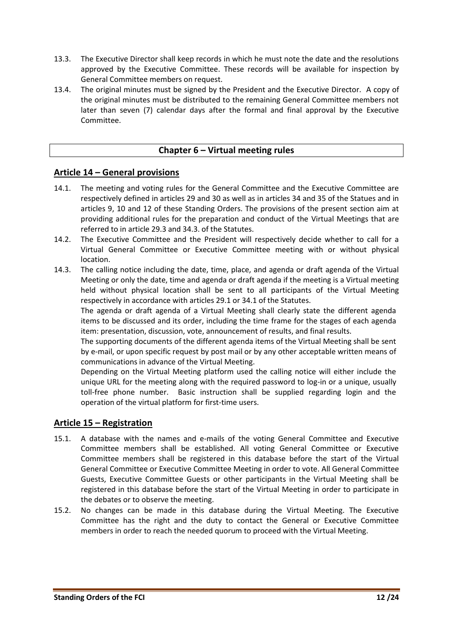- 13.3. The Executive Director shall keep records in which he must note the date and the resolutions approved by the Executive Committee. These records will be available for inspection by General Committee members on request.
- <span id="page-11-0"></span>13.4. The original minutes must be signed by the President and the Executive Director. A copy of the original minutes must be distributed to the remaining General Committee members not later than seven (7) calendar days after the formal and final approval by the Executive Committee.

## **Chapter 6 – Virtual meeting rules**

#### <span id="page-11-1"></span>**Article 14 – General provisions**

- 14.1. The meeting and voting rules for the General Committee and the Executive Committee are respectively defined in articles 29 and 30 as well as in articles 34 and 35 of the Statues and in articles 9, 10 and 12 of these Standing Orders. The provisions of the present section aim at providing additional rules for the preparation and conduct of the Virtual Meetings that are referred to in article 29.3 and 34.3. of the Statutes.
- 14.2. The Executive Committee and the President will respectively decide whether to call for a Virtual General Committee or Executive Committee meeting with or without physical location.
- 14.3. The calling notice including the date, time, place, and agenda or draft agenda of the Virtual Meeting or only the date, time and agenda or draft agenda if the meeting is a Virtual meeting held without physical location shall be sent to all participants of the Virtual Meeting respectively in accordance with articles 29.1 or 34.1 of the Statutes.

The agenda or draft agenda of a Virtual Meeting shall clearly state the different agenda items to be discussed and its order, including the time frame for the stages of each agenda item: presentation, discussion, vote, announcement of results, and final results.

The supporting documents of the different agenda items of the Virtual Meeting shall be sent by e-mail, or upon specific request by post mail or by any other acceptable written means of communications in advance of the Virtual Meeting.

Depending on the Virtual Meeting platform used the calling notice will either include the unique URL for the meeting along with the required password to log-in or a unique, usually toll-free phone number. Basic instruction shall be supplied regarding login and the operation of the virtual platform for first-time users.

#### <span id="page-11-2"></span>**Article 15 – Registration**

- 15.1. A database with the names and e-mails of the voting General Committee and Executive Committee members shall be established. All voting General Committee or Executive Committee members shall be registered in this database before the start of the Virtual General Committee or Executive Committee Meeting in order to vote. All General Committee Guests, Executive Committee Guests or other participants in the Virtual Meeting shall be registered in this database before the start of the Virtual Meeting in order to participate in the debates or to observe the meeting.
- 15.2. No changes can be made in this database during the Virtual Meeting. The Executive Committee has the right and the duty to contact the General or Executive Committee members in order to reach the needed quorum to proceed with the Virtual Meeting.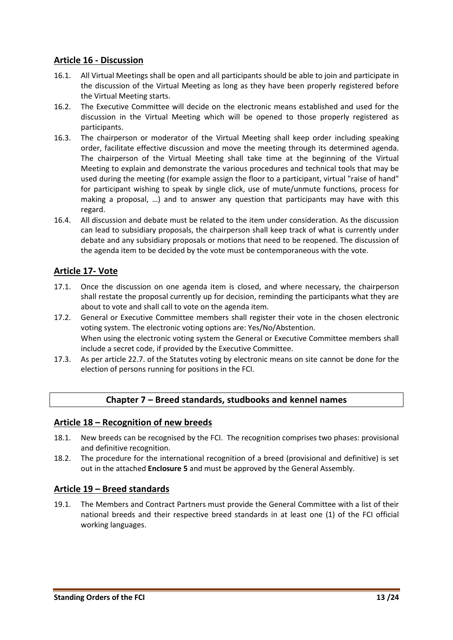#### <span id="page-12-0"></span>**Article 16 - Discussion**

- 16.1. All Virtual Meetings shall be open and all participants should be able to join and participate in the discussion of the Virtual Meeting as long as they have been properly registered before the Virtual Meeting starts.
- 16.2. The Executive Committee will decide on the electronic means established and used for the discussion in the Virtual Meeting which will be opened to those properly registered as participants.
- 16.3. The chairperson or moderator of the Virtual Meeting shall keep order including speaking order, facilitate effective discussion and move the meeting through its determined agenda. The chairperson of the Virtual Meeting shall take time at the beginning of the Virtual Meeting to explain and demonstrate the various procedures and technical tools that may be used during the meeting (for example assign the floor to a participant, virtual "raise of hand" for participant wishing to speak by single click, use of mute/unmute functions, process for making a proposal, …) and to answer any question that participants may have with this regard.
- 16.4. All discussion and debate must be related to the item under consideration. As the discussion can lead to subsidiary proposals, the chairperson shall keep track of what is currently under debate and any subsidiary proposals or motions that need to be reopened. The discussion of the agenda item to be decided by the vote must be contemporaneous with the vote.

# <span id="page-12-1"></span>**Article 17- Vote**

- 17.1. Once the discussion on one agenda item is closed, and where necessary, the chairperson shall restate the proposal currently up for decision, reminding the participants what they are about to vote and shall call to vote on the agenda item.
- 17.2. General or Executive Committee members shall register their vote in the chosen electronic voting system. The electronic voting options are: Yes/No/Abstention. When using the electronic voting system the General or Executive Committee members shall include a secret code, if provided by the Executive Committee.
- <span id="page-12-2"></span>17.3. As per article 22.7. of the Statutes voting by electronic means on site cannot be done for the election of persons running for positions in the FCI.

#### **Chapter 7 – Breed standards, studbooks and kennel names**

#### <span id="page-12-3"></span>**Article 18 – Recognition of new breeds**

- 18.1. New breeds can be recognised by the FCI. The recognition comprises two phases: provisional and definitive recognition.
- 18.2. The procedure for the international recognition of a breed (provisional and definitive) is set out in the attached **Enclosure 5** and must be approved by the General Assembly.

#### <span id="page-12-4"></span>**Article 19 – Breed standards**

19.1. The Members and Contract Partners must provide the General Committee with a list of their national breeds and their respective breed standards in at least one (1) of the FCI official working languages.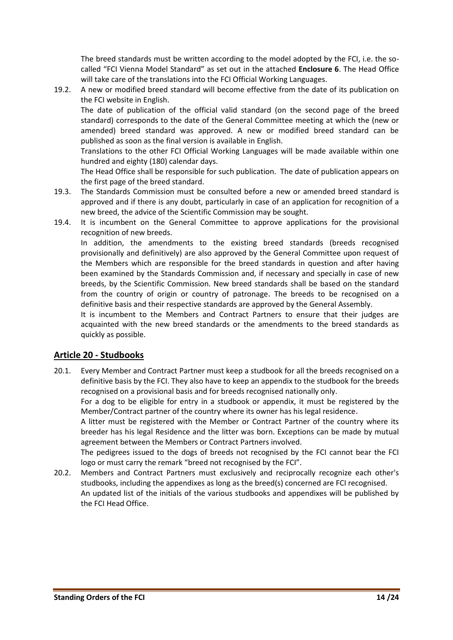The breed standards must be written according to the model adopted by the FCI, i.e. the socalled "FCI Vienna Model Standard" as set out in the attached **Enclosure 6**. The Head Office will take care of the translations into the FCI Official Working Languages.

19.2. A new or modified breed standard will become effective from the date of its publication on the FCI website in English.

The date of publication of the official valid standard (on the second page of the breed standard) corresponds to the date of the General Committee meeting at which the (new or amended) breed standard was approved. A new or modified breed standard can be published as soon as the final version is available in English.

Translations to the other FCI Official Working Languages will be made available within one hundred and eighty (180) calendar days.

The Head Office shall be responsible for such publication. The date of publication appears on the first page of the breed standard.

- 19.3. The Standards Commission must be consulted before a new or amended breed standard is approved and if there is any doubt, particularly in case of an application for recognition of a new breed, the advice of the Scientific Commission may be sought.
- 19.4. It is incumbent on the General Committee to approve applications for the provisional recognition of new breeds.

In addition, the amendments to the existing breed standards (breeds recognised provisionally and definitively) are also approved by the General Committee upon request of the Members which are responsible for the breed standards in question and after having been examined by the Standards Commission and, if necessary and specially in case of new breeds, by the Scientific Commission. New breed standards shall be based on the standard from the country of origin or country of patronage**.** The breeds to be recognised on a definitive basis and their respective standards are approved by the General Assembly.

It is incumbent to the Members and Contract Partners to ensure that their judges are acquainted with the new breed standards or the amendments to the breed standards as quickly as possible.

#### <span id="page-13-0"></span>**Article 20 - Studbooks**

20.1. Every Member and Contract Partner must keep a studbook for all the breeds recognised on a definitive basis by the FCI. They also have to keep an appendix to the studbook for the breeds recognised on a provisional basis and for breeds recognised nationally only.

For a dog to be eligible for entry in a studbook or appendix, it must be registered by the Member/Contract partner of the country where its owner has his legal residence**.** 

A litter must be registered with the Member or Contract Partner of the country where its breeder has his legal Residence and the litter was born. Exceptions can be made by mutual agreement between the Members or Contract Partners involved.

The pedigrees issued to the dogs of breeds not recognised by the FCI cannot bear the FCI logo or must carry the remark "breed not recognised by the FCI".

20.2. Members and Contract Partners must exclusively and reciprocally recognize each other's studbooks, including the appendixes as long as the breed(s) concerned are FCI recognised. An updated list of the initials of the various studbooks and appendixes will be published by the FCI Head Office.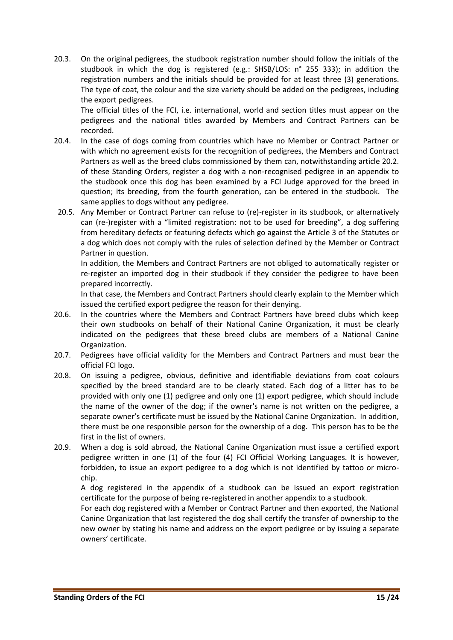20.3. On the original pedigrees, the studbook registration number should follow the initials of the studbook in which the dog is registered (e.g.: SHSB/LOS: n° 255 333); in addition the registration numbers and the initials should be provided for at least three (3) generations. The type of coat, the colour and the size variety should be added on the pedigrees, including the export pedigrees.

The official titles of the FCI, i.e. international, world and section titles must appear on the pedigrees and the national titles awarded by Members and Contract Partners can be recorded.

- 20.4. In the case of dogs coming from countries which have no Member or Contract Partner or with which no agreement exists for the recognition of pedigrees, the Members and Contract Partners as well as the breed clubs commissioned by them can, notwithstanding article 20.2. of these Standing Orders, register a dog with a non-recognised pedigree in an appendix to the studbook once this dog has been examined by a FCI Judge approved for the breed in question; its breeding, from the fourth generation, can be entered in the studbook. The same applies to dogs without any pedigree.
- 20.5. Any Member or Contract Partner can refuse to (re)-register in its studbook, or alternatively can (re-)register with a "limited registration: not to be used for breeding", a dog suffering from hereditary defects or featuring defects which go against the Article 3 of the Statutes or a dog which does not comply with the rules of selection defined by the Member or Contract Partner in question.

In addition, the Members and Contract Partners are not obliged to automatically register or re-register an imported dog in their studbook if they consider the pedigree to have been prepared incorrectly.

In that case, the Members and Contract Partners should clearly explain to the Member which issued the certified export pedigree the reason for their denying.

- 20.6. In the countries where the Members and Contract Partners have breed clubs which keep their own studbooks on behalf of their National Canine Organization, it must be clearly indicated on the pedigrees that these breed clubs are members of a National Canine Organization.
- 20.7. Pedigrees have official validity for the Members and Contract Partners and must bear the official FCI logo.
- 20.8. On issuing a pedigree, obvious, definitive and identifiable deviations from coat colours specified by the breed standard are to be clearly stated. Each dog of a litter has to be provided with only one (1) pedigree and only one (1) export pedigree, which should include the name of the owner of the dog; if the owner's name is not written on the pedigree, a separate owner's certificate must be issued by the National Canine Organization. In addition, there must be one responsible person for the ownership of a dog. This person has to be the first in the list of owners.
- 20.9. When a dog is sold abroad, the National Canine Organization must issue a certified export pedigree written in one (1) of the four (4) FCI Official Working Languages. It is however, forbidden, to issue an export pedigree to a dog which is not identified by tattoo or microchip.

A dog registered in the appendix of a studbook can be issued an export registration certificate for the purpose of being re-registered in another appendix to a studbook.

For each dog registered with a Member or Contract Partner and then exported, the National Canine Organization that last registered the dog shall certify the transfer of ownership to the new owner by stating his name and address on the export pedigree or by issuing a separate owners' certificate.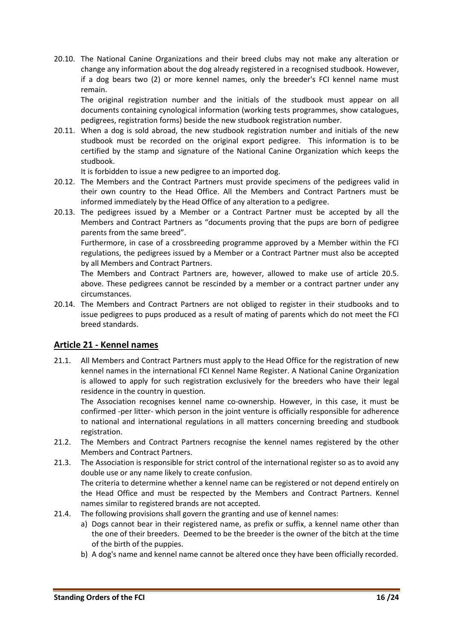20.10. The National Canine Organizations and their breed clubs may not make any alteration or change any information about the dog already registered in a recognised studbook. However, if a dog bears two (2) or more kennel names, only the breeder's FCI kennel name must remain.

The original registration number and the initials of the studbook must appear on all documents containing cynological information (working tests programmes, show catalogues, pedigrees, registration forms) beside the new studbook registration number.

20.11. When a dog is sold abroad, the new studbook registration number and initials of the new studbook must be recorded on the original export pedigree. This information is to be certified by the stamp and signature of the National Canine Organization which keeps the studbook.

It is forbidden to issue a new pedigree to an imported dog.

- 20.12. The Members and the Contract Partners must provide specimens of the pedigrees valid in their own country to the Head Office. All the Members and Contract Partners must be informed immediately by the Head Office of any alteration to a pedigree.
- 20.13. The pedigrees issued by a Member or a Contract Partner must be accepted by all the Members and Contract Partners as "documents proving that the pups are born of pedigree parents from the same breed".

Furthermore, in case of a crossbreeding programme approved by a Member within the FCI regulations, the pedigrees issued by a Member or a Contract Partner must also be accepted by all Members and Contract Partners.

The Members and Contract Partners are, however, allowed to make use of article 20.5. above. These pedigrees cannot be rescinded by a member or a contract partner under any circumstances.

20.14. The Members and Contract Partners are not obliged to register in their studbooks and to issue pedigrees to pups produced as a result of mating of parents which do not meet the FCI breed standards.

# <span id="page-15-0"></span>**Article 21 - Kennel names**

21.1. All Members and Contract Partners must apply to the Head Office for the registration of new kennel names in the international FCI Kennel Name Register. A National Canine Organization is allowed to apply for such registration exclusively for the breeders who have their legal residence in the country in question.

The Association recognises kennel name co-ownership. However, in this case, it must be confirmed -per litter- which person in the joint venture is officially responsible for adherence to national and international regulations in all matters concerning breeding and studbook registration.

- 21.2. The Members and Contract Partners recognise the kennel names registered by the other Members and Contract Partners.
- 21.3. The Association is responsible for strict control of the international register so as to avoid any double use or any name likely to create confusion. The criteria to determine whether a kennel name can be registered or not depend entirely on the Head Office and must be respected by the Members and Contract Partners. Kennel names similar to registered brands are not accepted.
- 21.4. The following provisions shall govern the granting and use of kennel names:
	- a) Dogs cannot bear in their registered name, as prefix or suffix, a kennel name other than the one of their breeders.Deemed to be the breeder is the owner of the bitch at the time of the birth of the puppies.
	- b) A dog's name and kennel name cannot be altered once they have been officially recorded.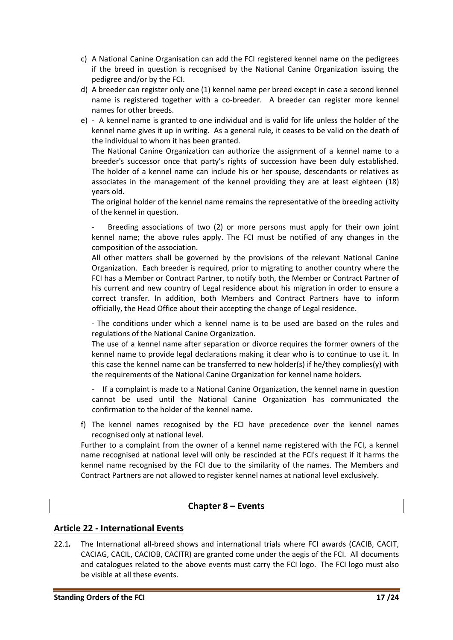- c) A National Canine Organisation can add the FCI registered kennel name on the pedigrees if the breed in question is recognised by the National Canine Organization issuing the pedigree and/or by the FCI.
- d) A breeder can register only one (1) kennel name per breed except in case a second kennel name is registered together with a co-breeder. A breeder can register more kennel names for other breeds.
- e) A kennel name is granted to one individual and is valid for life unless the holder of the kennel name gives it up in writing. As a general rule*,* it ceases to be valid on the death of the individual to whom it has been granted.

The National Canine Organization can authorize the assignment of a kennel name to a breeder's successor once that party's rights of succession have been duly established. The holder of a kennel name can include his or her spouse, descendants or relatives as associates in the management of the kennel providing they are at least eighteen (18) years old.

The original holder of the kennel name remains the representative of the breeding activity of the kennel in question.

Breeding associations of two (2) or more persons must apply for their own joint kennel name; the above rules apply. The FCI must be notified of any changes in the composition of the association.

All other matters shall be governed by the provisions of the relevant National Canine Organization. Each breeder is required, prior to migrating to another country where the FCI has a Member or Contract Partner, to notify both, the Member or Contract Partner of his current and new country of Legal residence about his migration in order to ensure a correct transfer. In addition, both Members and Contract Partners have to inform officially, the Head Office about their accepting the change of Legal residence.

- The conditions under which a kennel name is to be used are based on the rules and regulations of the National Canine Organization.

The use of a kennel name after separation or divorce requires the former owners of the kennel name to provide legal declarations making it clear who is to continue to use it. In this case the kennel name can be transferred to new holder(s) if he/they complies(y) with the requirements of the National Canine Organization for kennel name holders.

- If a complaint is made to a National Canine Organization, the kennel name in question cannot be used until the National Canine Organization has communicated the confirmation to the holder of the kennel name.

f) The kennel names recognised by the FCI have precedence over the kennel names recognised only at national level.

Further to a complaint from the owner of a kennel name registered with the FCI, a kennel name recognised at national level will only be rescinded at the FCI's request if it harms the kennel name recognised by the FCI due to the similarity of the names. The Members and Contract Partners are not allowed to register kennel names at national level exclusively.

#### **Chapter 8 – Events**

#### <span id="page-16-1"></span><span id="page-16-0"></span>**Article 22 - International Events**

22.1*.* The International all-breed shows and international trials where FCI awards (CACIB, CACIT, CACIAG, CACIL, CACIOB, CACITR) are granted come under the aegis of the FCI. All documents and catalogues related to the above events must carry the FCI logo. The FCI logo must also be visible at all these events.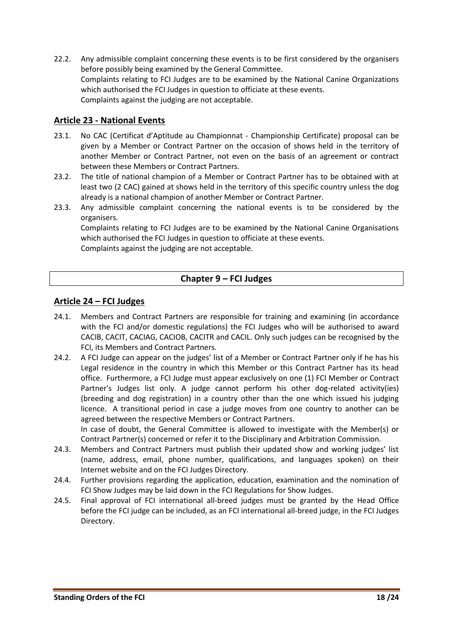22.2. Any admissible complaint concerning these events is to be first considered by the organisers before possibly being examined by the General Committee. Complaints relating to FCI Judges are to be examined by the National Canine Organizations which authorised the FCI Judges in question to officiate at these events. Complaints against the judging are not acceptable.

#### <span id="page-17-0"></span>**Article 23 - National Events**

- 23.1. No CAC (Certificat d'Aptitude au Championnat Championship Certificate) proposal can be given by a Member or Contract Partner on the occasion of shows held in the territory of another Member or Contract Partner, not even on the basis of an agreement or contract between these Members or Contract Partners.
- 23.2. The title of national champion of a Member or Contract Partner has to be obtained with at least two (2 CAC) gained at shows held in the territory of this specific country unless the dog already is a national champion of another Member or Contract Partner.
- 23.3. Any admissible complaint concerning the national events is to be considered by the organisers.

<span id="page-17-1"></span>Complaints relating to FCI Judges are to be examined by the National Canine Organisations which authorised the FCI Judges in question to officiate at these events. Complaints against the judging are not acceptable.

# **Chapter 9 – FCI Judges**

#### <span id="page-17-2"></span>**Article 24 – FCI Judges**

- 24.1. Members and Contract Partners are responsible for training and examining (in accordance with the FCI and/or domestic regulations) the FCI Judges who will be authorised to award CACIB, CACIT, CACIAG, CACIOB, CACITR and CACIL. Only such judges can be recognised by the FCI, its Members and Contract Partners*.*
- 24.2. A FCI Judge can appear on the judges' list of a Member or Contract Partner only if he has his Legal residence in the country in which this Member or this Contract Partner has its head office. Furthermore, a FCI Judge must appear exclusively on one (1) FCI Member or Contract Partner's Judges list only. A judge cannot perform his other dog-related activity(ies) (breeding and dog registration) in a country other than the one which issued his judging licence. A transitional period in case a judge moves from one country to another can be agreed between the respective Members or Contract Partners. In case of doubt, the General Committee is allowed to investigate with the Member(s) or

Contract Partner(s) concerned or refer it to the Disciplinary and Arbitration Commission.

- 24.3. Members and Contract Partners must publish their updated show and working judges' list (name, address, email, phone number, qualifications, and languages spoken) on their Internet website and on the FCI Judges Directory.
- 24.4. Further provisions regarding the application, education, examination and the nomination of FCI Show Judges may be laid down in the FCI Regulations for Show Judges.
- 24.5. Final approval of FCI international all-breed judges must be granted by the Head Office before the FCI judge can be included, as an FCI international all-breed judge, in the FCI Judges Directory.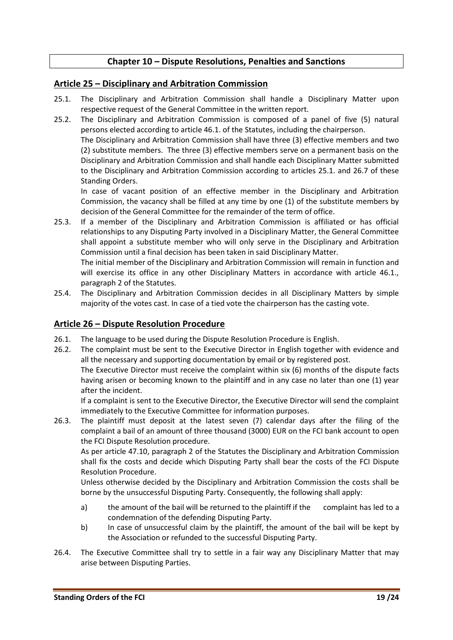### **Chapter 10 – Dispute Resolutions, Penalties and Sanctions**

#### <span id="page-18-1"></span><span id="page-18-0"></span>**Article 25 – Disciplinary and Arbitration Commission**

- 25.1. The Disciplinary and Arbitration Commission shall handle a Disciplinary Matter upon respective request of the General Committee in the written report.
- 25.2. The Disciplinary and Arbitration Commission is composed of a panel of five (5) natural persons elected according to article 46.1. of the Statutes, including the chairperson. The Disciplinary and Arbitration Commission shall have three (3) effective members and two

(2) substitute members. The three (3) effective members serve on a permanent basis on the Disciplinary and Arbitration Commission and shall handle each Disciplinary Matter submitted to the Disciplinary and Arbitration Commission according to articles 25.1. and 26.7 of these Standing Orders.

In case of vacant position of an effective member in the Disciplinary and Arbitration Commission, the vacancy shall be filled at any time by one (1) of the substitute members by decision of the General Committee for the remainder of the term of office.

25.3. If a member of the Disciplinary and Arbitration Commission is affiliated or has official relationships to any Disputing Party involved in a Disciplinary Matter, the General Committee shall appoint a substitute member who will only serve in the Disciplinary and Arbitration Commission until a final decision has been taken in said Disciplinary Matter.

The initial member of the Disciplinary and Arbitration Commission will remain in function and will exercise its office in any other Disciplinary Matters in accordance with article 46.1., paragraph 2 of the Statutes.

25.4. The Disciplinary and Arbitration Commission decides in all Disciplinary Matters by simple majority of the votes cast. In case of a tied vote the chairperson has the casting vote.

#### <span id="page-18-2"></span>**Article 26 – Dispute Resolution Procedure**

- 26.1. The language to be used during the Dispute Resolution Procedure is English.
- 26.2. The complaint must be sent to the Executive Director in English together with evidence and all the necessary and supporting documentation by email or by registered post. The Executive Director must receive the complaint within six (6) months of the dispute facts having arisen or becoming known to the plaintiff and in any case no later than one (1) year

after the incident. If a complaint is sent to the Executive Director, the Executive Director will send the complaint immediately to the Executive Committee for information purposes.

26.3. The plaintiff must deposit at the latest seven (7) calendar days after the filing of the complaint a bail of an amount of three thousand (3000) EUR on the FCI bank account to open the FCI Dispute Resolution procedure.

As per article 47.10, paragraph 2 of the Statutes the Disciplinary and Arbitration Commission shall fix the costs and decide which Disputing Party shall bear the costs of the FCI Dispute Resolution Procedure.

Unless otherwise decided by the Disciplinary and Arbitration Commission the costs shall be borne by the unsuccessful Disputing Party. Consequently, the following shall apply:

- a) the amount of the bail will be returned to the plaintiff if the complaint has led to a condemnation of the defending Disputing Party.
- b) In case of unsuccessful claim by the plaintiff, the amount of the bail will be kept by the Association or refunded to the successful Disputing Party.
- 26.4. The Executive Committee shall try to settle in a fair way any Disciplinary Matter that may arise between Disputing Parties.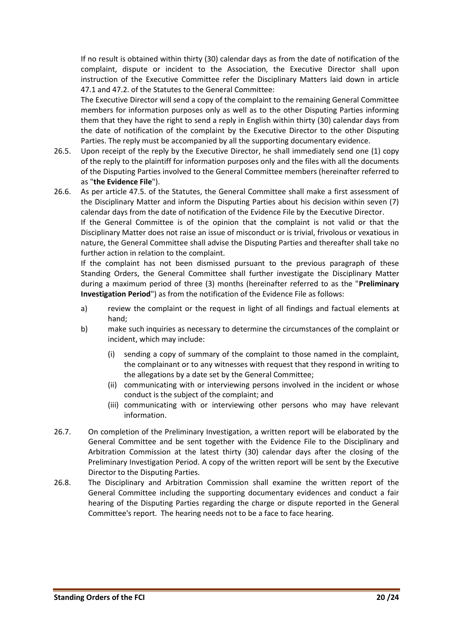If no result is obtained within thirty (30) calendar days as from the date of notification of the complaint, dispute or incident to the Association, the Executive Director shall upon instruction of the Executive Committee refer the Disciplinary Matters laid down in article 47.1 and 47.2. of the Statutes to the General Committee:

The Executive Director will send a copy of the complaint to the remaining General Committee members for information purposes only as well as to the other Disputing Parties informing them that they have the right to send a reply in English within thirty (30) calendar days from the date of notification of the complaint by the Executive Director to the other Disputing Parties. The reply must be accompanied by all the supporting documentary evidence.

26.5. Upon receipt of the reply by the Executive Director, he shall immediately send one (1) copy of the reply to the plaintiff for information purposes only and the files with all the documents of the Disputing Parties involved to the General Committee members (hereinafter referred to as "**the Evidence File**").

26.6. As per article 47.5. of the Statutes, the General Committee shall make a first assessment of the Disciplinary Matter and inform the Disputing Parties about his decision within seven (7) calendar days from the date of notification of the Evidence File by the Executive Director.

If the General Committee is of the opinion that the complaint is not valid or that the Disciplinary Matter does not raise an issue of misconduct or is trivial, frivolous or vexatious in nature, the General Committee shall advise the Disputing Parties and thereafter shall take no further action in relation to the complaint.

If the complaint has not been dismissed pursuant to the previous paragraph of these Standing Orders, the General Committee shall further investigate the Disciplinary Matter during a maximum period of three (3) months (hereinafter referred to as the "**Preliminary Investigation Period**") as from the notification of the Evidence File as follows:

- a) review the complaint or the request in light of all findings and factual elements at hand;
- b) make such inquiries as necessary to determine the circumstances of the complaint or incident, which may include:
	- (i) sending a copy of summary of the complaint to those named in the complaint, the complainant or to any witnesses with request that they respond in writing to the allegations by a date set by the General Committee;
	- (ii) communicating with or interviewing persons involved in the incident or whose conduct is the subject of the complaint; and
	- (iii) communicating with or interviewing other persons who may have relevant information.
- 26.7. On completion of the Preliminary Investigation, a written report will be elaborated by the General Committee and be sent together with the Evidence File to the Disciplinary and Arbitration Commission at the latest thirty (30) calendar days after the closing of the Preliminary Investigation Period. A copy of the written report will be sent by the Executive Director to the Disputing Parties.
- 26.8. The Disciplinary and Arbitration Commission shall examine the written report of the General Committee including the supporting documentary evidences and conduct a fair hearing of the Disputing Parties regarding the charge or dispute reported in the General Committee's report. The hearing needs not to be a face to face hearing.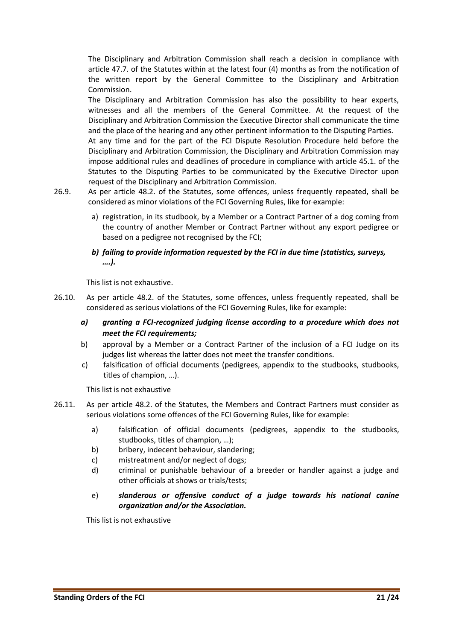The Disciplinary and Arbitration Commission shall reach a decision in compliance with article 47.7. of the Statutes within at the latest four (4) months as from the notification of the written report by the General Committee to the Disciplinary and Arbitration Commission.

The Disciplinary and Arbitration Commission has also the possibility to hear experts, witnesses and all the members of the General Committee. At the request of the Disciplinary and Arbitration Commission the Executive Director shall communicate the time and the place of the hearing and any other pertinent information to the Disputing Parties.

At any time and for the part of the FCI Dispute Resolution Procedure held before the Disciplinary and Arbitration Commission, the Disciplinary and Arbitration Commission may impose additional rules and deadlines of procedure in compliance with article 45.1. of the Statutes to the Disputing Parties to be communicated by the Executive Director upon request of the Disciplinary and Arbitration Commission.

- 26.9. As per article 48.2. of the Statutes, some offences, unless frequently repeated, shall be considered as minor violations of the FCI Governing Rules, like for example:
	- a) registration, in its studbook, by a Member or a Contract Partner of a dog coming from the country of another Member or Contract Partner without any export pedigree or based on a pedigree not recognised by the FCI;
	- *b) failing to provide information requested by the FCI in due time (statistics, surveys, ….).*

This list is not exhaustive.

- 26.10. As per article 48.2. of the Statutes, some offences, unless frequently repeated, shall be considered as serious violations of the FCI Governing Rules, like for example:
	- *a) granting a FCI-recognized judging license according to a procedure which does not meet the FCI requirements;*
	- b) approval by a Member or a Contract Partner of the inclusion of a FCI Judge on its judges list whereas the latter does not meet the transfer conditions.
	- c) falsification of official documents (pedigrees, appendix to the studbooks, studbooks, titles of champion, …).

This list is not exhaustive

- 26.11. As per article 48.2. of the Statutes, the Members and Contract Partners must consider as serious violations some offences of the FCI Governing Rules, like for example:
	- a) falsification of official documents (pedigrees, appendix to the studbooks, studbooks, titles of champion, …);
	- b) bribery, indecent behaviour, slandering;
	- c) mistreatment and/or neglect of dogs;
	- d) criminal or punishable behaviour of a breeder or handler against a judge and other officials at shows or trials/tests;
	- e) *slanderous or offensive conduct of a judge towards his national canine organization and/or the Association.*

This list is not exhaustive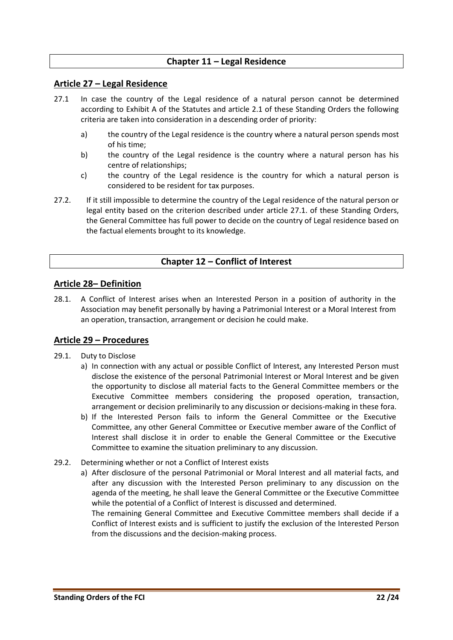#### **Chapter 11 – Legal Residence**

#### <span id="page-21-1"></span><span id="page-21-0"></span>**Article 27 – Legal Residence**

- 27.1 In case the country of the Legal residence of a natural person cannot be determined according to Exhibit A of the Statutes and article 2.1 of these Standing Orders the following criteria are taken into consideration in a descending order of priority:
	- a) the country of the Legal residence is the country where a natural person spends most of his time;
	- b) the country of the Legal residence is the country where a natural person has his centre of relationships;
	- c) the country of the Legal residence is the country for which a natural person is considered to be resident for tax purposes.
- <span id="page-21-2"></span>27.2. If it still impossible to determine the country of the Legal residence of the natural person or legal entity based on the criterion described under article 27.1. of these Standing Orders, the General Committee has full power to decide on the country of Legal residence based on the factual elements brought to its knowledge.

#### **Chapter 12 – Conflict of Interest**

#### <span id="page-21-3"></span>**Article 28– Definition**

28.1. A Conflict of Interest arises when an Interested Person in a position of authority in the Association may benefit personally by having a Patrimonial Interest or a Moral Interest from an operation, transaction, arrangement or decision he could make.

#### <span id="page-21-4"></span>**Article 29 – Procedures**

#### 29.1. Duty to Disclose

- a) In connection with any actual or possible Conflict of Interest, any Interested Person must disclose the existence of the personal Patrimonial Interest or Moral Interest and be given the opportunity to disclose all material facts to the General Committee members or the Executive Committee members considering the proposed operation, transaction, arrangement or decision preliminarily to any discussion or decisions-making in these fora.
- b) If the Interested Person fails to inform the General Committee or the Executive Committee, any other General Committee or Executive member aware of the Conflict of Interest shall disclose it in order to enable the General Committee or the Executive Committee to examine the situation preliminary to any discussion.

#### 29.2. Determining whether or not a Conflict of Interest exists

a) After disclosure of the personal Patrimonial or Moral Interest and all material facts, and after any discussion with the Interested Person preliminary to any discussion on the agenda of the meeting, he shall leave the General Committee or the Executive Committee while the potential of a Conflict of Interest is discussed and determined.

The remaining General Committee and Executive Committee members shall decide if a Conflict of Interest exists and is sufficient to justify the exclusion of the Interested Person from the discussions and the decision-making process.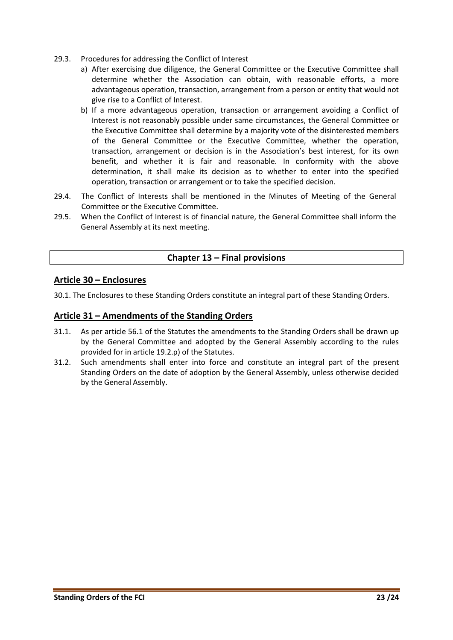- 29.3. Procedures for addressing the Conflict of Interest
	- a) After exercising due diligence, the General Committee or the Executive Committee shall determine whether the Association can obtain, with reasonable efforts, a more advantageous operation, transaction, arrangement from a person or entity that would not give rise to a Conflict of Interest.
	- b) If a more advantageous operation, transaction or arrangement avoiding a Conflict of Interest is not reasonably possible under same circumstances, the General Committee or the Executive Committee shall determine by a majority vote of the disinterested members of the General Committee or the Executive Committee, whether the operation, transaction, arrangement or decision is in the Association's best interest, for its own benefit, and whether it is fair and reasonable. In conformity with the above determination, it shall make its decision as to whether to enter into the specified operation, transaction or arrangement or to take the specified decision.
- 29.4. The Conflict of Interests shall be mentioned in the Minutes of Meeting of the General Committee or the Executive Committee.
- <span id="page-22-0"></span>29.5. When the Conflict of Interest is of financial nature, the General Committee shall inform the General Assembly at its next meeting.

# **Chapter 13 – Final provisions**

#### <span id="page-22-1"></span>**Article 30 – Enclosures**

<span id="page-22-2"></span>30.1. The Enclosures to these Standing Orders constitute an integral part of these Standing Orders.

#### **Article 31 – Amendments of the Standing Orders**

- 31.1. As per article 56.1 of the Statutes the amendments to the Standing Orders shall be drawn up by the General Committee and adopted by the General Assembly according to the rules provided for in article 19.2.p) of the Statutes.
- 31.2. Such amendments shall enter into force and constitute an integral part of the present Standing Orders on the date of adoption by the General Assembly, unless otherwise decided by the General Assembly.